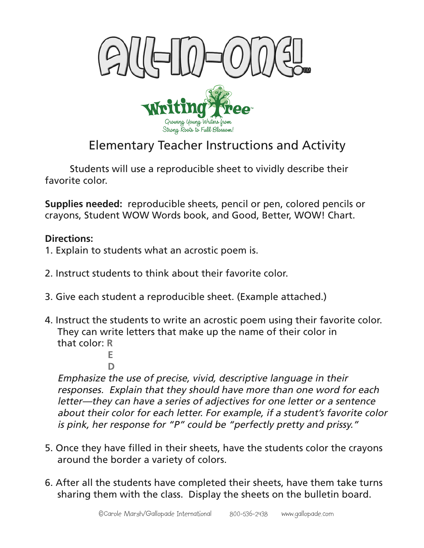



## Elementary Teacher Instructions and Activity

Students will use a reproducible sheet to vividly describe their favorite color.

**Supplies needed:** reproducible sheets, pencil or pen, colored pencils or crayons, Student WOW Words book, and Good, Better, WOW! Chart.

## **Directions:**

- 1. Explain to students what an acrostic poem is.
- 2. Instruct students to think about their favorite color.
- 3. Give each student a reproducible sheet. (Example attached.)
- 4. Instruct the students to write an acrostic poem using their favorite color. They can write letters that make up the name of their color in that color: **R**

**E D**

Emphasize the use of precise, vivid, descriptive language in their responses. Explain that they should have more than one word for each letter—they can have a series of adjectives for one letter or a sentence about their color for each letter. For example, if a student's favorite color is pink, her response for "P" could be "perfectly pretty and prissy."

- 5. Once they have filled in their sheets, have the students color the crayons around the border a variety of colors.
- 6. After all the students have completed their sheets, have them take turns sharing them with the class. Display the sheets on the bulletin board.